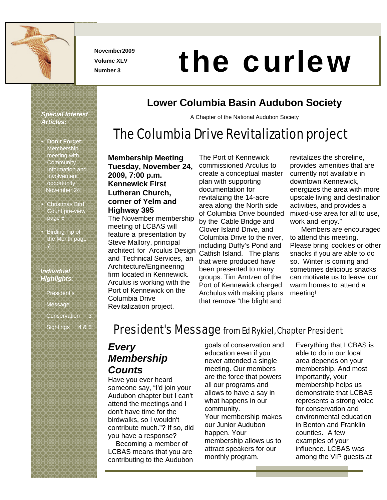

**November2009 Volume XLV** 

# November2009<br>Number 3

# **Lower Columbia Basin Audubon Society**

A Chapter of the National Audubon Society

# The Columbia Drive Revitalization project

• **Don't Forget:** Membership meeting with **Community** Information and Involvement opportunity November 24!

*Special Interest* 

*Articles:* 

- Christmas Bird Count pre-view page 6
- Birding Tip of the Month page 7

#### *Individual Highlights:*

| <b>President's</b>  |  |
|---------------------|--|
| Message             |  |
| <b>Conservation</b> |  |
| <b>Sightings</b>    |  |

#### **Membership Meeting Tuesday, November 24, 2009, 7:00 p.m. Kennewick First Lutheran Church, corner of Yelm and Highway 395**

The November membership meeting of LCBAS will feature a presentation by Steve Mallory, principal architect for Arculus Design and Technical Services, an Architecture/Engineering firm located in Kennewick. Arculus is working with the Port of Kennewick on the Columbia Drive Revitalization project.

The Port of Kennewick commissioned Arculus to create a conceptual master plan with supporting documentation for revitalizing the 14-acre area along the North side of Columbia Drive bounded by the Cable Bridge and Clover Island Drive, and Columbia Drive to the river, including Duffy's Pond and Catfish Island. The plans that were produced have been presented to many groups. Tim Arntzen of the Port of Kennewick charged Archulus with making plans that remove "the blight and

revitalizes the shoreline, provides amenities that are currently not available in downtown Kennewick, energizes the area with more upscale living and destination activities, and provides a mixed-use area for all to use, work and enjoy."

 Members are encouraged to attend this meeting. Please bring cookies or other snacks if you are able to do so. Winter is coming and sometimes delicious snacks can motivate us to leave our warm homes to attend a meeting!

# President's Message from Ed Rykiel, Chapter President

### *Every Membership Counts*

Have you ever heard someone say, "I'd join your Audubon chapter but I can't attend the meetings and I don't have time for the birdwalks, so I wouldn't contribute much."? If so, did you have a response?

 Becoming a member of LCBAS means that you are contributing to the Audubon

goals of conservation and education even if you never attended a single meeting. Our members are the force that powers all our programs and allows to have a say in what happens in our community. Your membership makes our Junior Audubon happen. Your membership allows us to attract speakers for our monthly program.

Everything that LCBAS is able to do in our local area depends on your membership. And most importantly, your membership helps us demonstrate that LCBAS represents a strong voice for conservation and environmental education in Benton and Franklin counties. A few examples of your influence. LCBAS was among the VIP guests at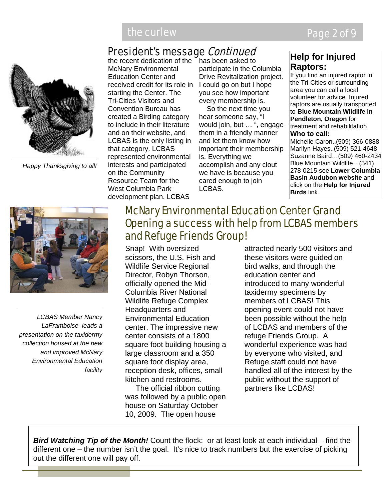# President's message Continued



*Happy Thanksgiving to all!*

the recent dedication of the McNary Environmental Education Center and received credit for its role in starting the Center. The Tri-Cities Visitors and Convention Bureau has created a Birding category to include in their literature and on their website, and LCBAS is the only listing in that category. LCBAS represented environmental interests and participated on the Community Resource Team for the West Columbia Park development plan. LCBAS

has been asked to participate in the Columbia Drive Revitalization project. I could go on but I hope you see how important every membership is.

 So the next time you hear someone say, "I would join, but … ", engage them in a friendly manner and let them know how important their membership is. Everything we accomplish and any clout we have is because you cared enough to join LCBAS.

#### **Help for Injured Raptors:**

If you find an injured raptor in the Tri-Cities or surrounding area you can call a local volunteer for advice. Injured raptors are usually transported to **Blue Mountain Wildlife in Pendleton, Oregon** for treatment and rehabilitation. **Who to call:**  Michelle Caron..(509) 366-0888 Marilyn Hayes..(509) 521-4648

Suzanne Baird…(509) 460-2434 Blue Mountain Wildlife…(541) 278-0215 see **Lower Columbia Basin Audubon website** and click on the **Help for Injured Birds** link.



*LCBAS Member Nancy LaFramboise leads a presentation on the taxidermy collection housed at the new and improved McNary Environmental Education facility*

# McNary Environmental Education Center Grand Opening a success with help from LCBAS members and Refuge Friends Group!

Snap! With oversized scissors, the U.S. Fish and Wildlife Service Regional Director, Robyn Thorson, officially opened the Mid-Columbia River National Wildlife Refuge Complex Headquarters and Environmental Education center. The impressive new center consists of a 1800 square foot building housing a large classroom and a 350 square foot display area, reception desk, offices, small kitchen and restrooms.

 The official ribbon cutting was followed by a public open house on Saturday October 10, 2009. The open house

attracted nearly 500 visitors and these visitors were guided on bird walks, and through the education center and introduced to many wonderful taxidermy specimens by members of LCBAS! This opening event could not have been possible without the help of LCBAS and members of the refuge Friends Group. A wonderful experience was had by everyone who visited, and Refuge staff could not have handled all of the interest by the public without the support of partners like LCBAS!

*Bird Watching Tip of the Month!* Count the flock: or at least look at each individual – find the different one – the number isn't the goal. It's nice to track numbers but the exercise of picking out the different one will pay off.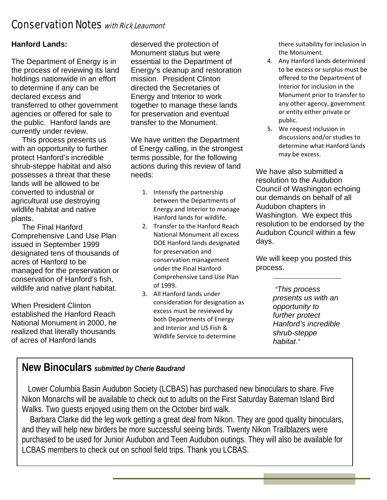# Conservation Notes with Rick Leaumont

#### **Hanford Lands:**

The Department of Energy is in the process of reviewing its land holdings nationwide in an effort to determine if any can be declared excess and transferred to other government agencies or offered for sale to the public. Hanford lands are currently under review.

 This process presents us with an opportunity to further protect Hanford's incredible shrub-steppe habitat and also possesses a threat that these lands will be allowed to be converted to industrial or agricultural use destroying wildlife habitat and native plants.

 The Final Hanford Comprehensive Land Use Plan issued in September 1999 designated tens of thousands of acres of Hanford to be managed for the preservation or conservation of Hanford's fish, wildlife and native plant habitat.

When President Clinton established the Hanford Reach National Monument in 2000, he realized that literally thousands of acres of Hanford lands

deserved the protection of Monument status but were essential to the Department of Energy's cleanup and restoration mission. President Clinton directed the Secretaries of Energy and Interior to work together to manage these lands for preservation and eventual transfer to the Monument.

We have written the Department of Energy calling, in the strongest terms possible, for the following actions during this review of land needs:

- 1. Intensify the partnership between the Departments of Energy and Interior to manage Hanford lands for wildlife.
- 2. Transfer to the Hanford Reach National Monument all excess DOE Hanford lands designated for preservation and conservation management under the Final Hanford Comprehensive Land Use Plan of 1999.
- 3. All Hanford lands under consideration for designation as excess must be reviewed by both Departments of Energy and Interior and US Fish & Wildlife Service to determine

there suitability for inclusion in the Monument.

- 4. Any Hanford lands determined to be excess or surplus must be offered to the Department of Interior for inclusion in the Monument prior to transfer to any other agency, government or entity either private or public.
- 5. We request inclusion in discussions and/or studies to determine what Hanford lands may be excess.

We have also submitted a resolution to the Audubon Council of Washington echoing our demands on behalf of all Audubon chapters in Washington. We expect this resolution to be endorsed by the Audubon Council within a few days.

We will keep you posted this process.

> *"This process presents us with an opportunity to further protect Hanford's incredible shrub-steppe habitat."*

### **New Binoculars** *submitted by Cherie Baudrand*

 Lower Columbia Basin Audubon Society (LCBAS) has purchased new binoculars to share. Five Nikon Monarchs will be available to check out to adults on the First Saturday Bateman Island Bird Walks. Two guests enjoyed using them on the October bird walk.

 Barbara Clarke did the leg work getting a great deal from Nikon. They are good quality binoculars, and they will help new birders be more successful seeing birds. Twenty Nikon Trailblazers were purchased to be used for Junior Audubon and Teen Audubon outings. They will also be available for LCBAS members to check out on school field trips. Thank you LCBAS.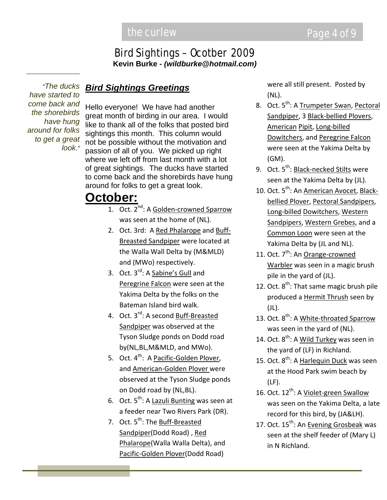#### Bird Sightings – Ocotber 2009 **Kevin Burke** *- (wildburke@hotmail.com)*

*"The ducks have started to come back and the shorebirds have hung around for folks to get a great look."*

#### *Bird Sightings Greetings*

Hello everyone! We have had another great month of birding in our area. I would like to thank all of the folks that posted bird sightings this month. This column would not be possible without the motivation and passion of all of you. We picked up right where we left off from last month with a lot of great sightings. The ducks have started to come back and the shorebirds have hung around for folks to get a great look.

# **October:**

- 1. Oct. 2<sup>nd</sup>: A Golden-crowned Sparrow was seen at the home of (NL).
- 2. Oct. 3rd: A Red Phalarope and Buff‐ Breasted Sandpiper were located at the Walla Wall Delta by (M&MLD) and (MWo) respectively.
- 3. Oct. 3<sup>rd</sup>: A **Sabine's Gull** and Peregrine Falcon were seen at the Yakima Delta by the folks on the Bateman Island bird walk.
- 4. Oct. 3<sup>rd</sup>: A second <u>Buff-Breasted</u> Sandpiper was observed at the Tyson Sludge ponds on Dodd road by(NL,BL,M&MLD, and MWo).
- 5. Oct. 4<sup>th</sup>: A <u>Pacific-Golden Plover</u>, and American‐Golden Plover were observed at the Tyson Sludge ponds on Dodd road by (NL,BL).
- 6. Oct. 5<sup>th</sup>: A <u>Lazuli Bunting</u> was seen at a feeder near Two Rivers Park (DR).
- 7. Oct. 5<sup>th</sup>: The **Buff-Breasted** Sandpiper(Dodd Road), Red Phalarope(Walla Walla Delta), and Pacific‐Golden Plover(Dodd Road)

were all still present. Posted by (NL).

- 8. Oct. 5<sup>th</sup>: A <u>Trumpeter Swan</u>, <u>Pectoral</u> Sandpiper, 3 Black‐bellied Plovers, American Pipit, Long‐billed Dowitchers, and Peregrine Falcon were seen at the Yakima Delta by (GM).
- 9. Oct. 5<sup>th</sup>: <u>Black-necked Stilts</u> were seen at the Yakima Delta by (JL).
- 10. Oct. 5<sup>th</sup>: An American Avocet, Blackbellied Plover, Pectoral Sandpipers, Long‐billed Dowitchers, Western Sandpipers, Western Grebes, and a Common Loon were seen at the Yakima Delta by (JL and NL).
- 11. Oct. 7<sup>th</sup>: An **Orange-crowned** Warbler was seen in a magic brush pile in the yard of (JL).
- 12. Oct. 8<sup>th</sup>: That same magic brush pile produced a Hermit Thrush seen by (JL).
- 13. Oct. 8<sup>th</sup>: A White-throated Sparrow was seen in the yard of (NL).
- 14. Oct. 8<sup>th</sup>: A <u>Wild Turkey</u> was seen in the yard of (LF) in Richland.
- 15. Oct. 8<sup>th</sup>: A Harlequin Duck was seen at the Hood Park swim beach by (LF).
- 16. Oct. 12<sup>th</sup>: A Violet-green Swallow was seen on the Yakima Delta, a late record for this bird, by (JA&LH).
- 17. Oct. 15<sup>th</sup>: An Evening Grosbeak was seen at the shelf feeder of (Mary L) in N Richland.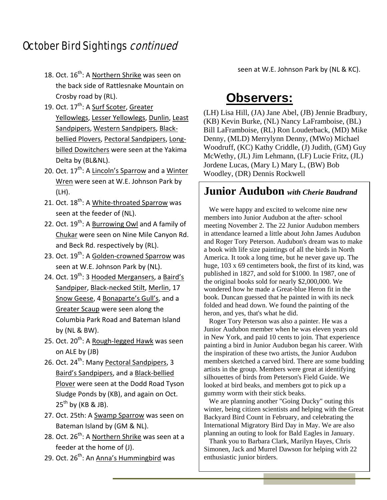# October Bird Sightings continued

- 18. Oct. 16<sup>th</sup>: A <u>Northern Shrike</u> was seen on the back side of Rattlesnake Mountain on Crosby road by (RL).
- 19. Oct. 17<sup>th</sup>: A <u>Surf Scoter</u>, <u>Greater</u> Yellowlegs, Lesser Yellowlegs, Dunlin, Least Sandpipers, Western Sandpipers, Black‐ bellied Plovers, Pectoral Sandpipers, Long‐ billed Dowitchers were seen at the Yakima Delta by (BL&NL).
- 20. Oct. 17<sup>th</sup>: A <u>Lincoln's Sparrow</u> and a <u>Winter</u> Wren were seen at W.E. Johnson Park by (LH).
- 21. Oct. 18<sup>th</sup>: A <u>White-throated Sparrow</u> was seen at the feeder of (NL).
- 22. Oct. 19<sup>th</sup>: A <u>Burrowing Owl</u> and A family of Chukar were seen on Nine Mile Canyon Rd. and Beck Rd. respectively by (RL).
- 23. Oct. 19<sup>th</sup>: A <u>Golden-crowned Sparrow</u> was seen at W.E. Johnson Park by (NL).
- 24. Oct. 19<sup>th</sup>: 3 Hooded Mergansers, a Baird's Sandpiper, Black‐necked Stilt, Merlin, 17 Snow Geese, 4 Bonaparte's Gull's, and a Greater Scaup were seen along the Columbia Park Road and Bateman Island by (NL & BW).
- 25. Oct. 20<sup>th</sup>: A <u>Rough-legged Hawk</u> was seen on ALE by (JB)
- 26. Oct. 24<sup>th</sup>: Many <u>Pectoral Sandpipers</u>, 3 Baird's Sandpipers, and a Black‐bellied Plover were seen at the Dodd Road Tyson Sludge Ponds by (KB), and again on Oct.  $25^{th}$  by (KB & JB).
- 27. Oct. 25th: A Swamp Sparrow was seen on Bateman Island by (GM & NL).
- 28. Oct. 26<sup>th</sup>: A <u>Northern Shrike</u> was seen at a feeder at the home of (J).
- 29. Oct. 26<sup>th</sup>: An <u>Anna's Hummingbird</u> was

seen at W.E. Johnson Park by (NL & KC).

# **Observers:**

(LH) Lisa Hill, (JA) Jane Abel, (JB) Jennie Bradbury, (KB) Kevin Burke, (NL) Nancy LaFramboise, (BL) Bill LaFramboise, (RL) Ron Louderback, (MD) Mike Denny, (MLD) Merrylynn Denny, (MWo) Michael Woodruff, (KC) Kathy Criddle, (J) Judith, (GM) Guy McWethy, (JL) Jim Lehmann, (LF) Lucie Fritz, (JL) Jordene Lucas, (Mary L) Mary L, (BW) Bob Woodley, (DR) Dennis Rockwell

#### **Junior Audubon** *with Cherie Baudrand*

 We were happy and excited to welcome nine new members into Junior Audubon at the after- school meeting November 2. The 22 Junior Audubon members in attendance learned a little about John James Audubon and Roger Tory Peterson. Audubon's dream was to make a book with life size paintings of all the birds in North America. It took a long time, but he never gave up. The huge, 103 x 69 centimeters book, the first of its kind, was published in 1827, and sold for \$1000. In 1987, one of the original books sold for nearly \$2,000,000. We wondered how he made a Great-blue Heron fit in the book. Duncan guessed that he painted in with its neck folded and head down. We found the painting of the heron, and yes, that's what he did.

 Roger Tory Peterson was also a painter. He was a Junior Audubon member when he was eleven years old in New York, and paid 10 cents to join. That experience painting a bird in Junior Audubon began his career. With the inspiration of these two artists, the Junior Audubon members sketched a carved bird. There are some budding artists in the group. Members were great at identifying silhouettes of birds from Peterson's Field Guide. We looked at bird beaks, and members got to pick up a gummy worm with their stick beaks.

 We are planning another "Going Ducky" outing this winter, being citizen scientists and helping with the Great Backyard Bird Count in February, and celebrating the International Migratory Bird Day in May. We are also planning an outing to look for Bald Eagles in January.

 Thank you to Barbara Clark, Marilyn Hayes, Chris Simonen, Jack and Murrel Dawson for helping with 22 enthusiastic junior birders.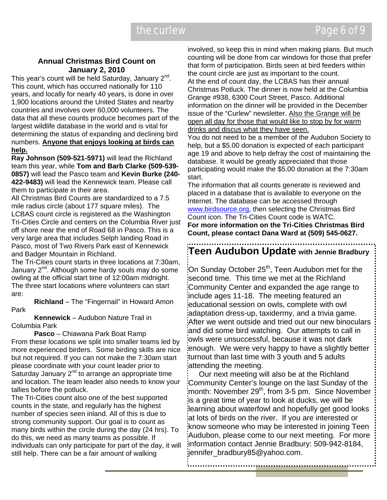#### **Annual Christmas Bird Count on January 2, 2010**

This year's count will be held Saturday, January  $2^{nd}$ . This count, which has occurred nationally for 110 years, and locally for nearly 40 years, is done in over 1,900 locations around the United States and nearby countries and involves over 60,000 volunteers. The data that all these counts produce becomes part of the largest wildlife database in the world and is vital for determining the status of expanding and declining bird numbers. **Anyone that enjoys looking at birds can help.**

**Ray Johnson (509-521-5971)** will lead the Richland team this year, while **Tom and Barb Clarke (509-539- 0857)** will lead the Pasco team and **Kevin Burke (240- 422-9483)** will lead the Kennewick team. Please call them to participate in their area.

All Christmas Bird Counts are standardized to a 7.5 mile radius circle (about 177 square miles). The LCBAS count circle is registered as the Washington Tri-Cities Circle and centers on the Columbia River just off shore near the end of Road 68 in Pasco. This is a very large area that includes Selph landing Road in Pasco, most of Two Rivers Park east of Kennewick and Badger Mountain in Richland.

The Tri-Cities count starts in three locations at 7:30am, January  $2^{nd}$ . Although some hardy souls may do some owling at the official start time of 12:00am midnight. The three start locations where volunteers can start are:

**Richland** – The "Fingernail" in Howard Amon Park

**Kennewick** – Audubon Nature Trail in Columbia Park

**Pasco** – Chiawana Park Boat Ramp From these locations we split into smaller teams led by more experienced birders. Some birding skills are nice but not required. If you can not make the 7:30am start please coordinate with your count leader prior to Saturday January  $2^{nd}$  to arrange an appropriate time and location. The team leader also needs to know your tallies before the potluck.

The Tri-Cities count also one of the best supported counts in the state, and regularly has the highest number of species seen inland. All of this is due to strong community support. Our goal is to count as many birds within the circle during the day (24 hrs). To do this, we need as many teams as possible. If individuals can only participate for part of the day, it will still help. There can be a fair amount of walking

involved, so keep this in mind when making plans. But much counting will be done from car windows for those that prefer that form of participation. Birds seen at bird feeders within the count circle are just as important to the count. At the end of count day, the LCBAS has their annual Christmas Potluck. The dinner is now held at the Columbia Grange #938, 6300 Court Street, Pasco. Additional information on the dinner will be provided in the December issue of the "Curlew" newsletter. Also the Grange will be open all day for those that would like to stop by for warm drinks and discus what they have seen.

You do not need to be a member of the Audubon Society to help, but a \$5.00 donation is expected of each participant age 19 and above to help defray the cost of maintaining the database. It would be greatly appreciated that those participating would make the \$5.00 donation at the 7:30am start.

The information that all counts generate is reviewed and placed in a database that is available to everyone on the Internet. The database can be accessed through www.birdsource.org, then selecting the Christmas Bird Count icon. The Tri-Cities Count code is WATC. **For more information on the Tri-Cities Christmas Bird Count, please contact Dana Ward at (509) 545-0627.** 

**Teen Audubon Update with Jennie Bradbury** 

.<br>On Sunday October 25<sup>th</sup>, Teen Audubon met for the second time. This time we met at the Richland Community Center and expanded the age range to include ages 11-18. The meeting featured an educational session on owls, complete with owl adaptation dress-up, taxidermy, and a trivia game. After we went outside and tried out our new binoculars and did some bird watching. Our attempts to call in owls were unsuccessful, because it was not dark enough. We were very happy to have a slightly better turnout than last time with 3 youth and 5 adults attending the meeting.

 Our next meeting will also be at the Richland Community Center's lounge on the last Sunday of the month: November 29<sup>th</sup>, from 3-5 pm. Since November is a great time of year to look at ducks, we will be learning about waterfowl and hopefully get good looks at lots of birds on the river. If you are interested or know someone who may be interested in joining Teen Audubon, please come to our next meeting. For more information contact Jennie Bradbury: 509-942-8184, jennifer\_bradbury85@yahoo.com.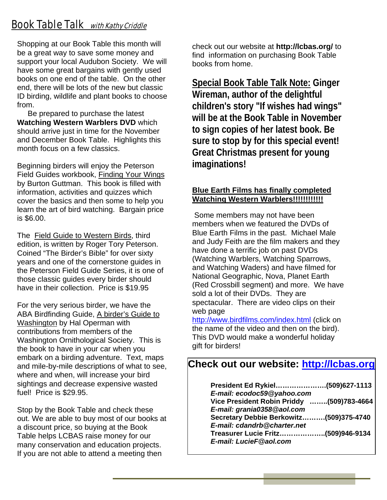# **Book Table Talk** with Kathy Criddle

Shopping at our Book Table this month will be a great way to save some money and support your local Audubon Society. We will have some great bargains with gently used books on one end of the table. On the other end, there will be lots of the new but classic ID birding, wildlife and plant books to choose from.

 Be prepared to purchase the latest **Watching Western Warblers DVD** which should arrive just in time for the November and December Book Table. Highlights this month focus on a few classics.

Beginning birders will enjoy the Peterson Field Guides workbook, Finding Your Wings by Burton Guttman. This book is filled with information, activities and quizzes which cover the basics and then some to help you learn the art of bird watching. Bargain price is \$6.00.

The Field Guide to Western Birds, third edition, is written by Roger Tory Peterson. Coined "The Birder's Bible" for over sixty years and one of the cornerstone guides in the Peterson Field Guide Series, it is one of those classic guides every birder should have in their collection. Price is \$19.95

For the very serious birder, we have the ABA Birdfinding Guide, A birder's Guide to Washington by Hal Operman with contributions from members of the Washington Ornithological Society. This is the book to have in your car when you embark on a birding adventure. Text, maps and mile-by-mile descriptions of what to see, where and when, will increase your bird sightings and decrease expensive wasted fuel! Price is \$29.95.

Stop by the Book Table and check these out. We are able to buy most of our books at a discount price, so buying at the Book Table helps LCBAS raise money for our many conservation and education projects. If you are not able to attend a meeting then

check out our website at **http://lcbas.org/** to find information on purchasing Book Table books from home.

**Special Book Table Talk Note: Ginger Wireman, author of the delightful children's story "If wishes had wings" will be at the Book Table in November to sign copies of her latest book. Be sure to stop by for this special event! Great Christmas present for young imaginations!** 

#### **Blue Earth Films has finally completed Watching Western Warblers!!!!!!!!!!!!**

Some members may not have been members when we featured the DVDs of Blue Earth Films in the past. Michael Male and Judy Feith are the film makers and they have done a terrific job on past DVDs (Watching Warblers, Watching Sparrows, and Watching Waders) and have filmed for National Geographic, Nova, Planet Earth (Red Crossbill segment) and more. We have sold a lot of their DVDs. They are spectacular. There are video clips on their web page

http://www.birdfilms.com/index.html (click on the name of the video and then on the bird). This DVD would make a wonderful holiday gift for birders!

#### **Check out our website: http://lcbas.org**

| E-mail: ecodoc59@yahoo.com                |
|-------------------------------------------|
| Vice President Robin Priddy (509)783-4664 |
| E-mail: grania0358@aol.com                |
| Secretary Debbie Berkowitz(509)375-4740   |
| E-mail: cdandrb@charter.net               |
| Treasurer Lucie Fritz(509)946-9134        |
| E-mail: LucieF@aol.com                    |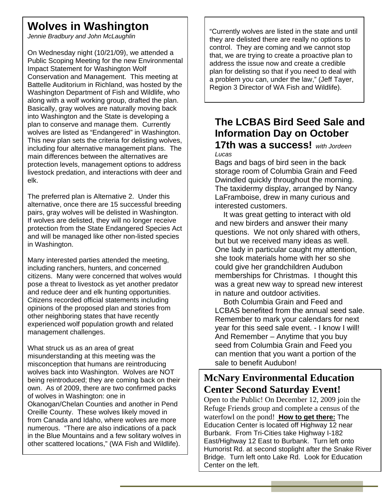# **Wolves in Washington**

*Jennie Bradbury and John McLaughlin* 

On Wednesday night (10/21/09), we attended a Public Scoping Meeting for the new Environmental Impact Statement for Washington Wolf Conservation and Management. This meeting at Battelle Auditorium in Richland, was hosted by the Washington Department of Fish and Wildlife, who along with a wolf working group, drafted the plan. Basically, gray wolves are naturally moving back into Washington and the State is developing a plan to conserve and manage them. Currently wolves are listed as "Endangered" in Washington. This new plan sets the criteria for delisting wolves, including four alternative management plans. The main differences between the alternatives are protection levels, management options to address livestock predation, and interactions with deer and elk.

The preferred plan is Alternative 2. Under this alternative, once there are 15 successful breeding pairs, gray wolves will be delisted in Washington. If wolves are delisted, they will no longer receive protection from the State Endangered Species Act and will be managed like other non-listed species in Washington.

Many interested parties attended the meeting, including ranchers, hunters, and concerned citizens. Many were concerned that wolves would pose a threat to livestock as yet another predator and reduce deer and elk hunting opportunities. Citizens recorded official statements including opinions of the proposed plan and stories from other neighboring states that have recently experienced wolf population growth and related management challenges.

What struck us as an area of great misunderstanding at this meeting was the misconception that humans are reintroducing wolves back into Washington. Wolves are NOT being reintroduced; they are coming back on their own. As of 2009, there are two confirmed packs of wolves in Washington: one in Okanogan/Chelan Counties and another in Pend Oreille County. These wolves likely moved in from Canada and Idaho, where wolves are more numerous. "There are also indications of a pack in the Blue Mountains and a few solitary wolves in other scattered locations," (WA Fish and Wildlife).

"Currently wolves are listed in the state and until they are delisted there are really no options to control. They are coming and we cannot stop that, we are trying to create a proactive plan to address the issue now and create a credible plan for delisting so that if you need to deal with a problem you can, under the law," (Jeff Tayer, Region 3 Director of WA Fish and Wildlife).

# **The LCBAS Bird Seed Sale and Information Day on October**

#### **17th was a success!** *with Jordeen Lucas*

Bags and bags of bird seen in the back storage room of Columbia Grain and Feed Dwindled quickly throughout the morning. The taxidermy display, arranged by Nancy LaFramboise, drew in many curious and interested customers.

 It was great getting to interact with old and new birders and answer their many questions. We not only shared with others, but but we received many ideas as well. One lady in particular caught my attention, she took materials home with her so she could give her grandchildren Audubon memberships for Christmas. I thought this was a great new way to spread new interest in nature and outdoor activities.

 Both Columbia Grain and Feed and LCBAS benefited from the annual seed sale. Remember to mark your calendars for next year for this seed sale event. - I know I will! And Remember – Anytime that you buy seed from Columbia Grain and Feed you can mention that you want a portion of the sale to benefit Audubon!

# **McNary Environmental Education Center Second Saturday Event!**

Open to the Public! On December 12, 2009 join the Refuge Friends group and complete a census of the waterfowl on the pond! **How to get there:** The Education Center is located off Highway 12 near Burbank. From Tri-Cities take Highway I-182 East/Highway 12 East to Burbank. Turn left onto Humorist Rd. at second stoplight after the Snake River Bridge. Turn left onto Lake Rd. Look for Education Center on the left.